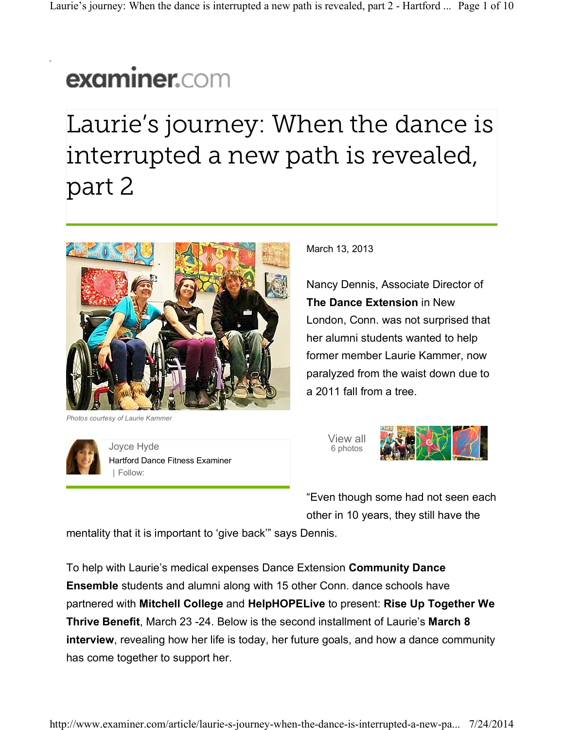## examiner.com

Laurie's journey: When the dance is interrupted a new path is revealed, part 2



*Photos courtesy of Laurie Kammer*



Joyce Hyde Hartford Dance Fitness Examiner | Follow:

March 13, 2013

Nancy Dennis, Associate Director of **The Dance Extension** in New London, Conn. was not surprised that her alumni students wanted to help former member Laurie Kammer, now paralyzed from the waist down due to a 2011 fall from a tree.



"Even though some had not seen each other in 10 years, they still have the

mentality that it is important to 'give back'" says Dennis.

To help with Laurie's medical expenses Dance Extension **Community Dance Ensemble** students and alumni along with 15 other Conn. dance schools have partnered with **Mitchell College** and **HelpHOPELive** to present: **Rise Up Together We Thrive Benefit**, March 23 -24. Below is the second installment of Laurie's **March 8 interview**, revealing how her life is today, her future goals, and how a dance community has come together to support her.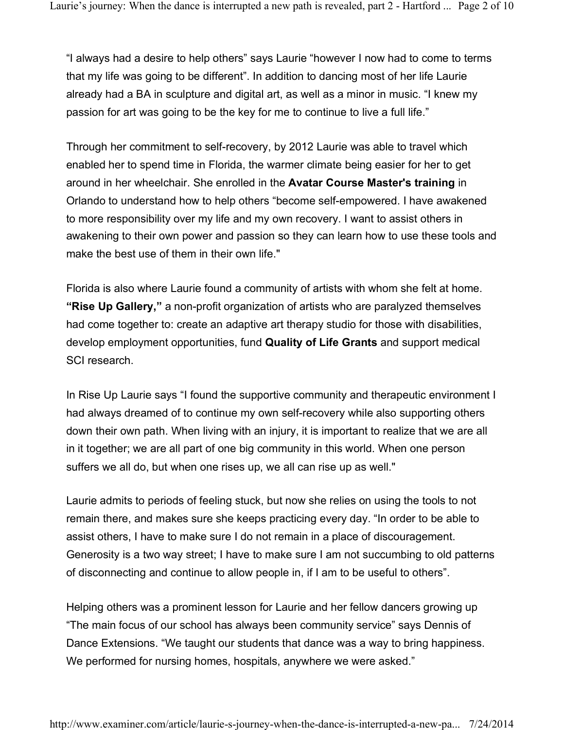"I always had a desire to help others" says Laurie "however I now had to come to terms that my life was going to be different". In addition to dancing most of her life Laurie already had a BA in sculpture and digital art, as well as a minor in music. "I knew my passion for art was going to be the key for me to continue to live a full life."

Through her commitment to self-recovery, by 2012 Laurie was able to travel which enabled her to spend time in Florida, the warmer climate being easier for her to get around in her wheelchair. She enrolled in the **Avatar Course Master's training** in Orlando to understand how to help others "become self-empowered. I have awakened to more responsibility over my life and my own recovery. I want to assist others in awakening to their own power and passion so they can learn how to use these tools and make the best use of them in their own life."

Florida is also where Laurie found a community of artists with whom she felt at home. **"Rise Up Gallery,"** a non-profit organization of artists who are paralyzed themselves had come together to: create an adaptive art therapy studio for those with disabilities, develop employment opportunities, fund **Quality of Life Grants** and support medical SCI research.

In Rise Up Laurie says "I found the supportive community and therapeutic environment I had always dreamed of to continue my own self-recovery while also supporting others down their own path. When living with an injury, it is important to realize that we are all in it together; we are all part of one big community in this world. When one person suffers we all do, but when one rises up, we all can rise up as well."

Laurie admits to periods of feeling stuck, but now she relies on using the tools to not remain there, and makes sure she keeps practicing every day. "In order to be able to assist others, I have to make sure I do not remain in a place of discouragement. Generosity is a two way street; I have to make sure I am not succumbing to old patterns of disconnecting and continue to allow people in, if I am to be useful to others".

Helping others was a prominent lesson for Laurie and her fellow dancers growing up "The main focus of our school has always been community service" says Dennis of Dance Extensions. "We taught our students that dance was a way to bring happiness. We performed for nursing homes, hospitals, anywhere we were asked."